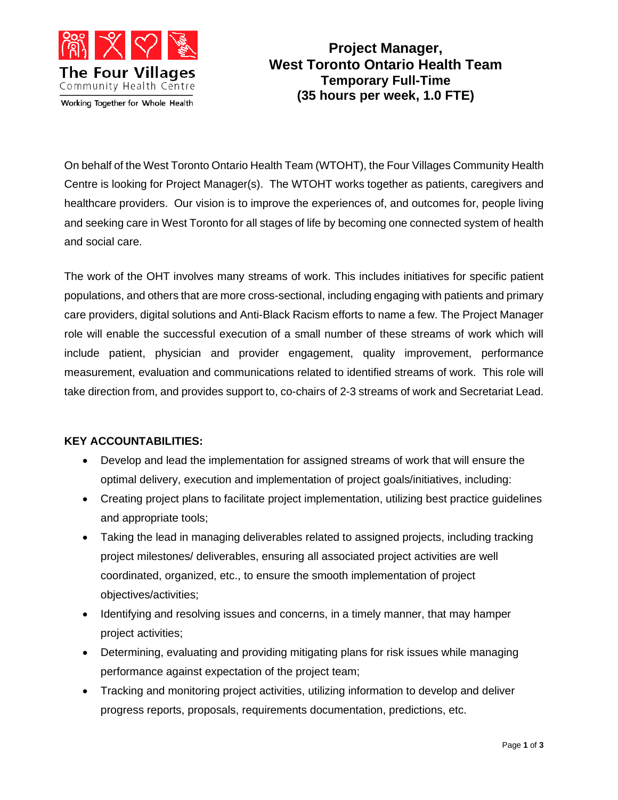

**Project Manager, West Toronto Ontario Health Team Temporary Full-Time (35 hours per week, 1.0 FTE)**

On behalf of the West Toronto Ontario Health Team (WTOHT), the Four Villages Community Health Centre is looking for Project Manager(s). The WTOHT works together as patients, caregivers and healthcare providers. Our vision is to improve the experiences of, and outcomes for, people living and seeking care in West Toronto for all stages of life by becoming one connected system of health and social care.

The work of the OHT involves many streams of work. This includes initiatives for specific patient populations, and others that are more cross-sectional, including engaging with patients and primary care providers, digital solutions and Anti-Black Racism efforts to name a few. The Project Manager role will enable the successful execution of a small number of these streams of work which will include patient, physician and provider engagement, quality improvement, performance measurement, evaluation and communications related to identified streams of work. This role will take direction from, and provides support to, co-chairs of 2-3 streams of work and Secretariat Lead.

## **KEY ACCOUNTABILITIES:**

- Develop and lead the implementation for assigned streams of work that will ensure the optimal delivery, execution and implementation of project goals/initiatives, including:
- Creating project plans to facilitate project implementation, utilizing best practice guidelines and appropriate tools;
- Taking the lead in managing deliverables related to assigned projects, including tracking project milestones/ deliverables, ensuring all associated project activities are well coordinated, organized, etc., to ensure the smooth implementation of project objectives/activities;
- Identifying and resolving issues and concerns, in a timely manner, that may hamper project activities;
- Determining, evaluating and providing mitigating plans for risk issues while managing performance against expectation of the project team;
- Tracking and monitoring project activities, utilizing information to develop and deliver progress reports, proposals, requirements documentation, predictions, etc.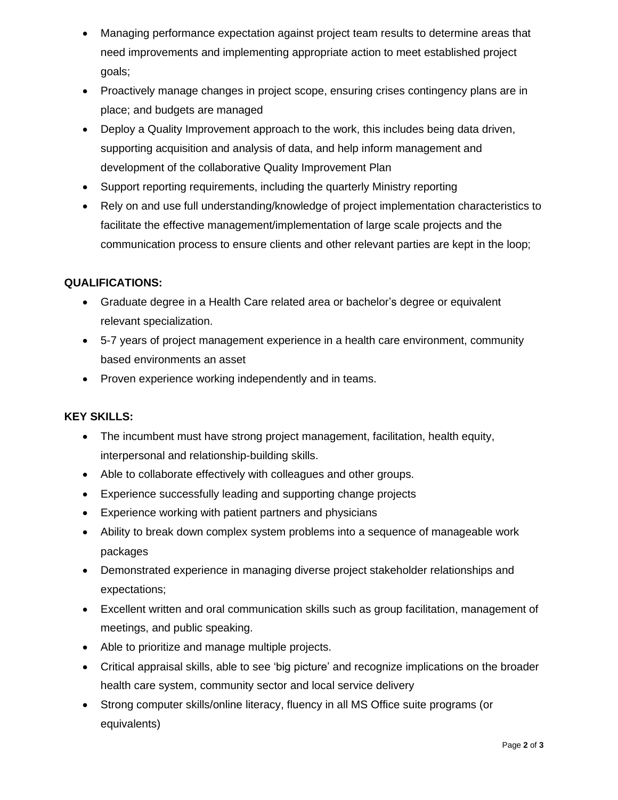- Managing performance expectation against project team results to determine areas that need improvements and implementing appropriate action to meet established project goals;
- Proactively manage changes in project scope, ensuring crises contingency plans are in place; and budgets are managed
- Deploy a Quality Improvement approach to the work, this includes being data driven, supporting acquisition and analysis of data, and help inform management and development of the collaborative Quality Improvement Plan
- Support reporting requirements, including the quarterly Ministry reporting
- Rely on and use full understanding/knowledge of project implementation characteristics to facilitate the effective management/implementation of large scale projects and the communication process to ensure clients and other relevant parties are kept in the loop;

## **QUALIFICATIONS:**

- Graduate degree in a Health Care related area or bachelor's degree or equivalent relevant specialization.
- 5-7 years of project management experience in a health care environment, community based environments an asset
- Proven experience working independently and in teams.

## **KEY SKILLS:**

- The incumbent must have strong project management, facilitation, health equity, interpersonal and relationship-building skills.
- Able to collaborate effectively with colleagues and other groups.
- Experience successfully leading and supporting change projects
- Experience working with patient partners and physicians
- Ability to break down complex system problems into a sequence of manageable work packages
- Demonstrated experience in managing diverse project stakeholder relationships and expectations;
- Excellent written and oral communication skills such as group facilitation, management of meetings, and public speaking.
- Able to prioritize and manage multiple projects.
- Critical appraisal skills, able to see 'big picture' and recognize implications on the broader health care system, community sector and local service delivery
- Strong computer skills/online literacy, fluency in all MS Office suite programs (or equivalents)